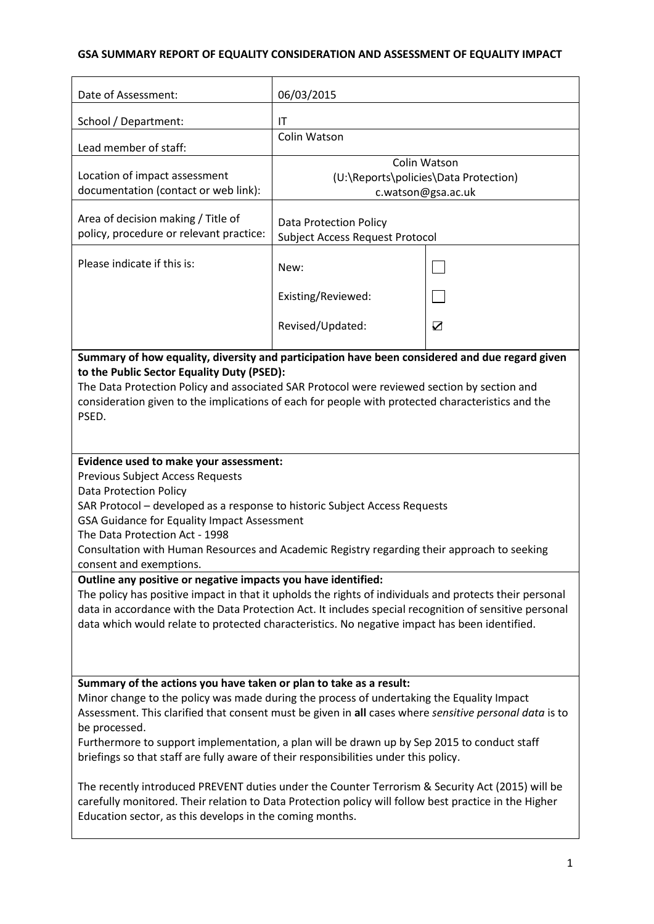# **GSA SUMMARY REPORT OF EQUALITY CONSIDERATION AND ASSESSMENT OF EQUALITY IMPACT**

| Date of Assessment:                                                                                                                                                                                                                                                                                                                                                                                                                                                                                                                                                                                                                                                                                                                                                                                                                                                                                                                                                                                                                                                                                                                                             | 06/03/2015                                                                  |                            |  |
|-----------------------------------------------------------------------------------------------------------------------------------------------------------------------------------------------------------------------------------------------------------------------------------------------------------------------------------------------------------------------------------------------------------------------------------------------------------------------------------------------------------------------------------------------------------------------------------------------------------------------------------------------------------------------------------------------------------------------------------------------------------------------------------------------------------------------------------------------------------------------------------------------------------------------------------------------------------------------------------------------------------------------------------------------------------------------------------------------------------------------------------------------------------------|-----------------------------------------------------------------------------|----------------------------|--|
| School / Department:                                                                                                                                                                                                                                                                                                                                                                                                                                                                                                                                                                                                                                                                                                                                                                                                                                                                                                                                                                                                                                                                                                                                            | IT                                                                          |                            |  |
| Lead member of staff:                                                                                                                                                                                                                                                                                                                                                                                                                                                                                                                                                                                                                                                                                                                                                                                                                                                                                                                                                                                                                                                                                                                                           | Colin Watson                                                                |                            |  |
| Location of impact assessment<br>documentation (contact or web link):                                                                                                                                                                                                                                                                                                                                                                                                                                                                                                                                                                                                                                                                                                                                                                                                                                                                                                                                                                                                                                                                                           | Colin Watson<br>(U:\Reports\policies\Data Protection)<br>c.watson@gsa.ac.uk |                            |  |
| Area of decision making / Title of<br>policy, procedure or relevant practice:                                                                                                                                                                                                                                                                                                                                                                                                                                                                                                                                                                                                                                                                                                                                                                                                                                                                                                                                                                                                                                                                                   | <b>Data Protection Policy</b><br><b>Subject Access Request Protocol</b>     |                            |  |
| Please indicate if this is:                                                                                                                                                                                                                                                                                                                                                                                                                                                                                                                                                                                                                                                                                                                                                                                                                                                                                                                                                                                                                                                                                                                                     | New:                                                                        |                            |  |
|                                                                                                                                                                                                                                                                                                                                                                                                                                                                                                                                                                                                                                                                                                                                                                                                                                                                                                                                                                                                                                                                                                                                                                 | Existing/Reviewed:                                                          |                            |  |
|                                                                                                                                                                                                                                                                                                                                                                                                                                                                                                                                                                                                                                                                                                                                                                                                                                                                                                                                                                                                                                                                                                                                                                 | Revised/Updated:                                                            | $\boldsymbol{\mathcal{D}}$ |  |
| Summary of how equality, diversity and participation have been considered and due regard given<br>to the Public Sector Equality Duty (PSED):<br>The Data Protection Policy and associated SAR Protocol were reviewed section by section and<br>consideration given to the implications of each for people with protected characteristics and the<br>PSED.<br>Evidence used to make your assessment:<br><b>Previous Subject Access Requests</b><br><b>Data Protection Policy</b><br>SAR Protocol - developed as a response to historic Subject Access Requests<br>GSA Guidance for Equality Impact Assessment<br>The Data Protection Act - 1998<br>Consultation with Human Resources and Academic Registry regarding their approach to seeking<br>consent and exemptions.<br>Outline any positive or negative impacts you have identified:<br>The policy has positive impact in that it upholds the rights of individuals and protects their personal<br>data in accordance with the Data Protection Act. It includes special recognition of sensitive personal<br>data which would relate to protected characteristics. No negative impact has been identified. |                                                                             |                            |  |
|                                                                                                                                                                                                                                                                                                                                                                                                                                                                                                                                                                                                                                                                                                                                                                                                                                                                                                                                                                                                                                                                                                                                                                 |                                                                             |                            |  |
| Summary of the actions you have taken or plan to take as a result:<br>Minor change to the policy was made during the process of undertaking the Equality Impact<br>Assessment. This clarified that consent must be given in all cases where sensitive personal data is to<br>be processed.<br>Furthermore to support implementation, a plan will be drawn up by Sep 2015 to conduct staff<br>briefings so that staff are fully aware of their responsibilities under this policy.<br>The recently introduced PREVENT duties under the Counter Terrorism & Security Act (2015) will be<br>carefully monitored. Their relation to Data Protection policy will follow best practice in the Higher<br>Education sector, as this develops in the coming months.                                                                                                                                                                                                                                                                                                                                                                                                      |                                                                             |                            |  |